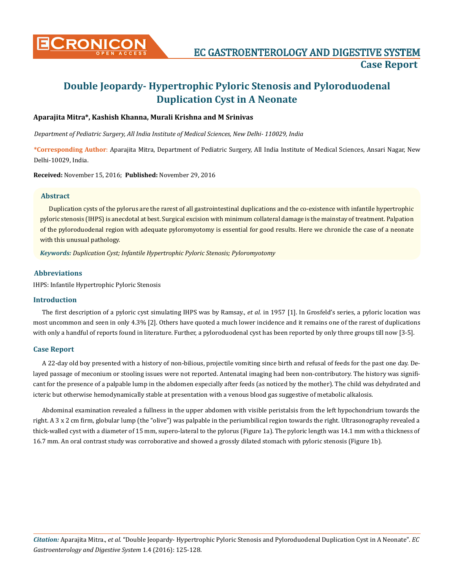

# **Double Jeopardy- Hypertrophic Pyloric Stenosis and Pyloroduodenal Duplication Cyst in A Neonate**

# **Aparajita Mitra\*, Kashish Khanna, Murali Krishna and M Srinivas**

*Department of Pediatric Surgery, All India Institute of Medical Sciences, New Delhi- 110029, India*

**\*Corresponding Author**: Aparajita Mitra, Department of Pediatric Surgery, All India Institute of Medical Sciences, Ansari Nagar, New Delhi-10029, India.

**Received:** November 15, 2016; **Published:** November 29, 2016

#### **Abstract**

Duplication cysts of the pylorus are the rarest of all gastrointestinal duplications and the co-existence with infantile hypertrophic pyloric stenosis (IHPS) is anecdotal at best. Surgical excision with minimum collateral damage is the mainstay of treatment. Palpation of the pyloroduodenal region with adequate pyloromyotomy is essential for good results. Here we chronicle the case of a neonate with this unusual pathology.

*Keywords: Duplication Cyst; Infantile Hypertrophic Pyloric Stenosis; Pyloromyotomy*

# **Abbreviations**

IHPS: Infantile Hypertrophic Pyloric Stenosis

## **Introduction**

The first description of a pyloric cyst simulating IHPS was by Ramsay., *et al*. in 1957 [1]. In Grosfeld's series, a pyloric location was most uncommon and seen in only 4.3% [2]. Others have quoted a much lower incidence and it remains one of the rarest of duplications with only a handful of reports found in literature. Further, a pyloroduodenal cyst has been reported by only three groups till now [3-5].

## **Case Report**

A 22-day old boy presented with a history of non-bilious, projectile vomiting since birth and refusal of feeds for the past one day. Delayed passage of meconium or stooling issues were not reported. Antenatal imaging had been non-contributory. The history was significant for the presence of a palpable lump in the abdomen especially after feeds (as noticed by the mother). The child was dehydrated and icteric but otherwise hemodynamically stable at presentation with a venous blood gas suggestive of metabolic alkalosis.

Abdominal examination revealed a fullness in the upper abdomen with visible peristalsis from the left hypochondrium towards the right. A 3 x 2 cm firm, globular lump (the "olive") was palpable in the periumbilical region towards the right. Ultrasonography revealed a thick-walled cyst with a diameter of 15 mm, supero-lateral to the pylorus (Figure 1a). The pyloric length was 14.1 mm with a thickness of 16.7 mm. An oral contrast study was corroborative and showed a grossly dilated stomach with pyloric stenosis (Figure 1b).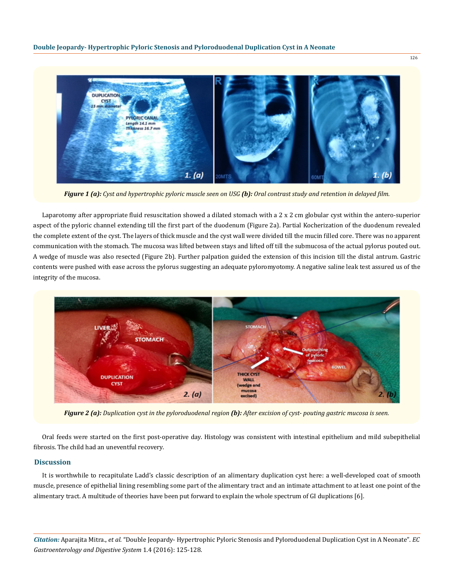

*Figure 1 (a): Cyst and hypertrophic pyloric muscle seen on USG (b): Oral contrast study and retention in delayed film.*

Laparotomy after appropriate fluid resuscitation showed a dilated stomach with a 2 x 2 cm globular cyst within the antero-superior aspect of the pyloric channel extending till the first part of the duodenum (Figure 2a). Partial Kocherization of the duodenum revealed the complete extent of the cyst. The layers of thick muscle and the cyst wall were divided till the mucin filled core. There was no apparent communication with the stomach. The mucosa was lifted between stays and lifted off till the submucosa of the actual pylorus pouted out. A wedge of muscle was also resected (Figure 2b). Further palpation guided the extension of this incision till the distal antrum. Gastric contents were pushed with ease across the pylorus suggesting an adequate pyloromyotomy. A negative saline leak test assured us of the integrity of the mucosa.



*Figure 2 (a): Duplication cyst in the pyloroduodenal region (b): After excision of cyst- pouting gastric mucosa is seen.*

Oral feeds were started on the first post-operative day. Histology was consistent with intestinal epithelium and mild subepithelial fibrosis. The child had an uneventful recovery.

#### **Discussion**

It is worthwhile to recapitulate Ladd's classic description of an alimentary duplication cyst here: a well-developed coat of smooth muscle, presence of epithelial lining resembling some part of the alimentary tract and an intimate attachment to at least one point of the alimentary tract. A multitude of theories have been put forward to explain the whole spectrum of GI duplications [6].

*Citation:* Aparajita Mitra., *et al*. "Double Jeopardy- Hypertrophic Pyloric Stenosis and Pyloroduodenal Duplication Cyst in A Neonate". *EC Gastroenterology and Digestive System* 1.4 (2016): 125-128.

126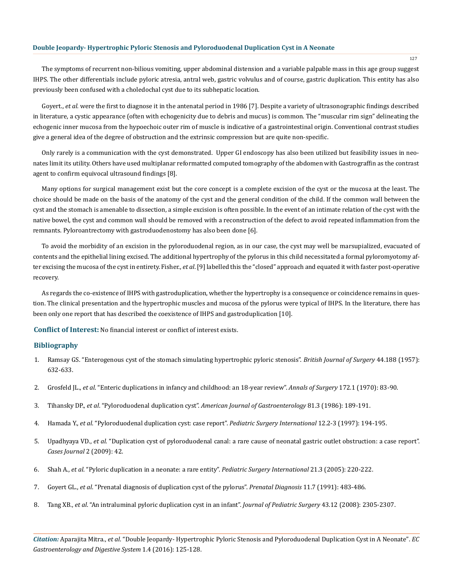#### **Double Jeopardy- Hypertrophic Pyloric Stenosis and Pyloroduodenal Duplication Cyst in A Neonate**

The symptoms of recurrent non-bilious vomiting, upper abdominal distension and a variable palpable mass in this age group suggest IHPS. The other differentials include pyloric atresia, antral web, gastric volvulus and of course, gastric duplication. This entity has also previously been confused with a choledochal cyst due to its subhepatic location.

Goyert., *et al.* were the first to diagnose it in the antenatal period in 1986 [7]. Despite a variety of ultrasonographic findings described in literature, a cystic appearance (often with echogenicity due to debris and mucus) is common. The "muscular rim sign" delineating the echogenic inner mucosa from the hypoechoic outer rim of muscle is indicative of a gastrointestinal origin. Conventional contrast studies give a general idea of the degree of obstruction and the extrinsic compression but are quite non-specific.

Only rarely is a communication with the cyst demonstrated. Upper GI endoscopy has also been utilized but feasibility issues in neonates limit its utility. Others have used multiplanar reformatted computed tomography of the abdomen with Gastrograffin as the contrast agent to confirm equivocal ultrasound findings [8].

Many options for surgical management exist but the core concept is a complete excision of the cyst or the mucosa at the least. The choice should be made on the basis of the anatomy of the cyst and the general condition of the child. If the common wall between the cyst and the stomach is amenable to dissection, a simple excision is often possible. In the event of an intimate relation of the cyst with the native bowel, the cyst and common wall should be removed with a reconstruction of the defect to avoid repeated inflammation from the remnants. Pyloroantrectomy with gastroduodenostomy has also been done [6].

To avoid the morbidity of an excision in the pyloroduodenal region, as in our case, the cyst may well be marsupialized, evacuated of contents and the epithelial lining excised. The additional hypertrophy of the pylorus in this child necessitated a formal pyloromyotomy after excising the mucosa of the cyst in entirety. Fisher., *et al*. [9] labelled this the "closed" approach and equated it with faster post-operative recovery.

As regards the co-existence of IHPS with gastroduplication, whether the hypertrophy is a consequence or coincidence remains in question. The clinical presentation and the hypertrophic muscles and mucosa of the pylorus were typical of IHPS. In the literature, there has been only one report that has described the coexistence of IHPS and gastroduplication [10].

**Conflict of Interest:** No financial interest or conflict of interest exists.

## **Bibliography**

- 1. [Ramsay GS. "Enterogenous cyst of the stomach simulating hypertrophic pyloric stenosis".](https://www.ncbi.nlm.nih.gov/pubmed/13510648) *British Journal of Surgery* 44.188 (1957): [632-633.](https://www.ncbi.nlm.nih.gov/pubmed/13510648)
- 2. Grosfeld JL., *et al*[. "Enteric duplications in infancy and childhood: an 18-year review".](https://www.ncbi.nlm.nih.gov/pubmed/5425820) *Annals of Surgery* 172.1 (1970): 83-90.
- 3. Tihansky DP., *et al*. "Pyloroduodenal duplication cyst". *[American Journal of Gastroenterology](https://www.ncbi.nlm.nih.gov/pubmed/3953534)* 81.3 (1986): 189-191.
- 4. Hamada Y., *et al*[. "Pyloroduodenal duplication cyst: case report".](https://www.ncbi.nlm.nih.gov/pubmed/9156858) *Pediatric Surgery International* 12.2-3 (1997): 194-195.
- 5. Upadhyaya VD., *et al*[. "Duplication cyst of pyloroduodenal canal: a rare cause of neonatal gastric outlet obstruction: a case report".](https://casesjournal.biomedcentral.com/articles/10.1186/1757-1626-2-42) *[Cases Journal](https://casesjournal.biomedcentral.com/articles/10.1186/1757-1626-2-42)* 2 (2009): 42.
- 6. Shah A., *et al*[. "Pyloric duplication in a neonate: a rare entity".](http://link.springer.com/article/10.1007/s00383-004-1324-2) *Pediatric Surgery International* 21.3 (2005): 220-222.
- 7. Goyert GL., *et al*[. "Prenatal diagnosis of duplication cyst of the pylorus".](https://www.ncbi.nlm.nih.gov/pubmed/1754568) *Prenatal Diagnosis* 11.7 (1991): 483-486.
- 8. Tang XB., *et al*[. "An intraluminal pyloric duplication cyst in an infant".](https://www.ncbi.nlm.nih.gov/pubmed/19040961) *Journal of Pediatric Surgery* 43.12 (2008): 2305-2307.

*Citation:* Aparajita Mitra., *et al*. "Double Jeopardy- Hypertrophic Pyloric Stenosis and Pyloroduodenal Duplication Cyst in A Neonate". *EC Gastroenterology and Digestive System* 1.4 (2016): 125-128.

127